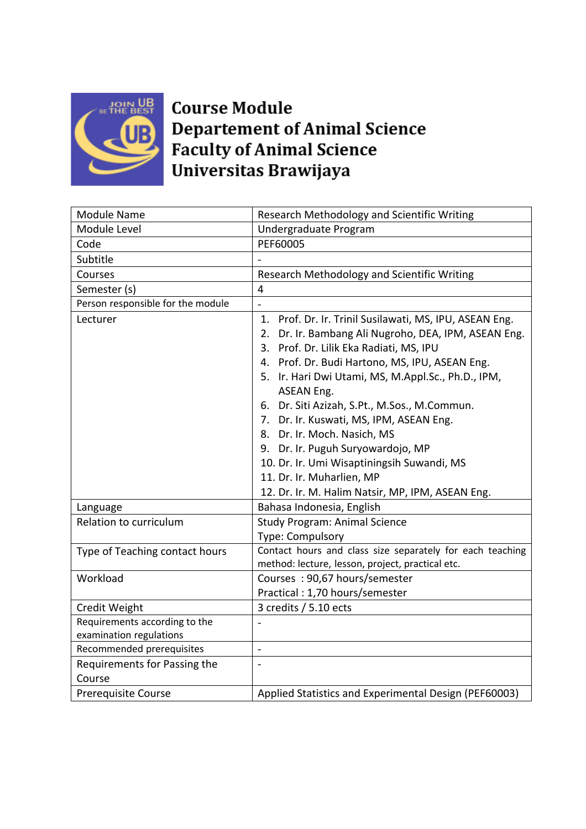

## **Course Module Departement of Animal Science Faculty of Animal Science** Universitas Brawijaya

| Module Name                                              | Research Methodology and Scientific Writing                                                                                                                                                                                                                                                                                                                                                                                                                                                                                                                                       |  |  |
|----------------------------------------------------------|-----------------------------------------------------------------------------------------------------------------------------------------------------------------------------------------------------------------------------------------------------------------------------------------------------------------------------------------------------------------------------------------------------------------------------------------------------------------------------------------------------------------------------------------------------------------------------------|--|--|
| Module Level                                             | Undergraduate Program                                                                                                                                                                                                                                                                                                                                                                                                                                                                                                                                                             |  |  |
| Code                                                     | PEF60005                                                                                                                                                                                                                                                                                                                                                                                                                                                                                                                                                                          |  |  |
| Subtitle                                                 |                                                                                                                                                                                                                                                                                                                                                                                                                                                                                                                                                                                   |  |  |
| Courses                                                  | Research Methodology and Scientific Writing                                                                                                                                                                                                                                                                                                                                                                                                                                                                                                                                       |  |  |
| Semester (s)                                             | $\overline{4}$                                                                                                                                                                                                                                                                                                                                                                                                                                                                                                                                                                    |  |  |
| Person responsible for the module                        |                                                                                                                                                                                                                                                                                                                                                                                                                                                                                                                                                                                   |  |  |
| Lecturer                                                 | 1. Prof. Dr. Ir. Trinil Susilawati, MS, IPU, ASEAN Eng.<br>Dr. Ir. Bambang Ali Nugroho, DEA, IPM, ASEAN Eng.<br>2.<br>3. Prof. Dr. Lilik Eka Radiati, MS, IPU<br>4. Prof. Dr. Budi Hartono, MS, IPU, ASEAN Eng.<br>5. Ir. Hari Dwi Utami, MS, M.Appl.Sc., Ph.D., IPM,<br>ASEAN Eng.<br>6. Dr. Siti Azizah, S.Pt., M.Sos., M.Commun.<br>7. Dr. Ir. Kuswati, MS, IPM, ASEAN Eng.<br>8. Dr. Ir. Moch. Nasich, MS<br>9. Dr. Ir. Puguh Suryowardojo, MP<br>10. Dr. Ir. Umi Wisaptiningsih Suwandi, MS<br>11. Dr. Ir. Muharlien, MP<br>12. Dr. Ir. M. Halim Natsir, MP, IPM, ASEAN Eng. |  |  |
| Language                                                 | Bahasa Indonesia, English                                                                                                                                                                                                                                                                                                                                                                                                                                                                                                                                                         |  |  |
| Relation to curriculum                                   | <b>Study Program: Animal Science</b><br>Type: Compulsory                                                                                                                                                                                                                                                                                                                                                                                                                                                                                                                          |  |  |
| Type of Teaching contact hours                           | Contact hours and class size separately for each teaching<br>method: lecture, lesson, project, practical etc.                                                                                                                                                                                                                                                                                                                                                                                                                                                                     |  |  |
| Workload                                                 | Courses: 90,67 hours/semester<br>Practical: 1,70 hours/semester                                                                                                                                                                                                                                                                                                                                                                                                                                                                                                                   |  |  |
| Credit Weight                                            | 3 credits / 5.10 ects                                                                                                                                                                                                                                                                                                                                                                                                                                                                                                                                                             |  |  |
| Requirements according to the<br>examination regulations |                                                                                                                                                                                                                                                                                                                                                                                                                                                                                                                                                                                   |  |  |
| Recommended prerequisites                                | $\overline{a}$                                                                                                                                                                                                                                                                                                                                                                                                                                                                                                                                                                    |  |  |
| Requirements for Passing the<br>Course                   | $\frac{1}{2}$                                                                                                                                                                                                                                                                                                                                                                                                                                                                                                                                                                     |  |  |
| <b>Prerequisite Course</b>                               | Applied Statistics and Experimental Design (PEF60003)                                                                                                                                                                                                                                                                                                                                                                                                                                                                                                                             |  |  |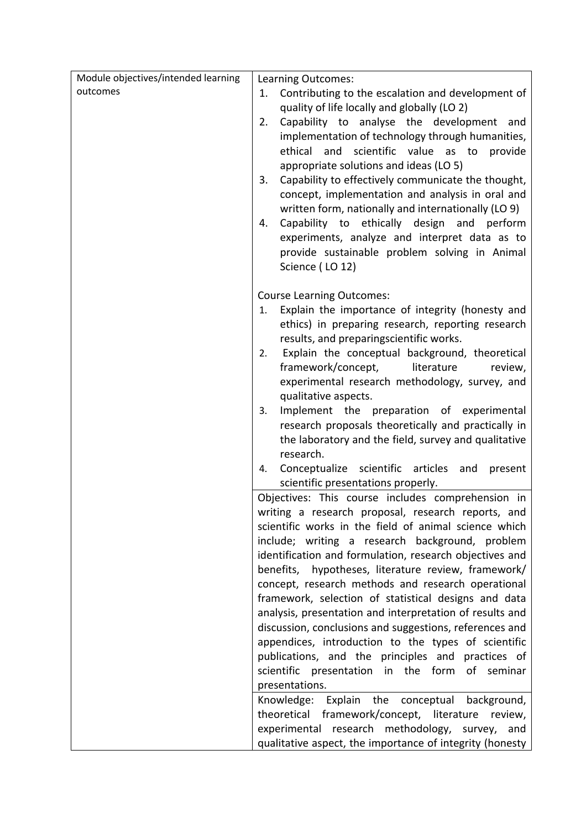| Module objectives/intended learning | Learning Outcomes:                                                                                          |  |  |
|-------------------------------------|-------------------------------------------------------------------------------------------------------------|--|--|
| outcomes                            | Contributing to the escalation and development of<br>1.                                                     |  |  |
|                                     | quality of life locally and globally (LO 2)                                                                 |  |  |
|                                     | Capability to analyse the development and<br>2.                                                             |  |  |
|                                     | implementation of technology through humanities,                                                            |  |  |
|                                     | ethical<br>and<br>scientific value as to<br>provide                                                         |  |  |
|                                     | appropriate solutions and ideas (LO 5)                                                                      |  |  |
|                                     | Capability to effectively communicate the thought,<br>3.                                                    |  |  |
|                                     | concept, implementation and analysis in oral and                                                            |  |  |
|                                     | written form, nationally and internationally (LO 9)                                                         |  |  |
|                                     | Capability to ethically design and perform<br>4.                                                            |  |  |
|                                     | experiments, analyze and interpret data as to                                                               |  |  |
|                                     | provide sustainable problem solving in Animal                                                               |  |  |
|                                     | Science (LO 12)                                                                                             |  |  |
|                                     |                                                                                                             |  |  |
|                                     | <b>Course Learning Outcomes:</b>                                                                            |  |  |
|                                     | Explain the importance of integrity (honesty and<br>1.                                                      |  |  |
|                                     | ethics) in preparing research, reporting research                                                           |  |  |
|                                     | results, and preparingscientific works.                                                                     |  |  |
|                                     | Explain the conceptual background, theoretical<br>2.                                                        |  |  |
|                                     | framework/concept,<br>literature<br>review,                                                                 |  |  |
|                                     | experimental research methodology, survey, and<br>qualitative aspects.                                      |  |  |
|                                     | Implement the preparation of experimental<br>3.                                                             |  |  |
|                                     | research proposals theoretically and practically in                                                         |  |  |
|                                     | the laboratory and the field, survey and qualitative                                                        |  |  |
|                                     | research.                                                                                                   |  |  |
|                                     | Conceptualize scientific articles<br>and<br>present<br>4.                                                   |  |  |
|                                     | scientific presentations properly.                                                                          |  |  |
|                                     | Objectives: This course includes comprehension in                                                           |  |  |
|                                     | writing a research proposal, research reports, and<br>scientific works in the field of animal science which |  |  |
|                                     |                                                                                                             |  |  |
|                                     | include; writing a research background, problem                                                             |  |  |
|                                     | identification and formulation, research objectives and                                                     |  |  |
|                                     | benefits, hypotheses, literature review, framework/                                                         |  |  |
|                                     | concept, research methods and research operational                                                          |  |  |
|                                     | framework, selection of statistical designs and data                                                        |  |  |
|                                     | analysis, presentation and interpretation of results and                                                    |  |  |
|                                     | discussion, conclusions and suggestions, references and                                                     |  |  |
|                                     | appendices, introduction to the types of scientific                                                         |  |  |
|                                     | publications, and the principles and practices of                                                           |  |  |
|                                     | scientific presentation in the form of seminar                                                              |  |  |
|                                     | presentations.                                                                                              |  |  |
|                                     | Knowledge: Explain the conceptual<br>background,                                                            |  |  |
|                                     | theoretical framework/concept, literature review,                                                           |  |  |
|                                     | experimental research methodology,<br>survey,<br>and                                                        |  |  |
|                                     | qualitative aspect, the importance of integrity (honesty                                                    |  |  |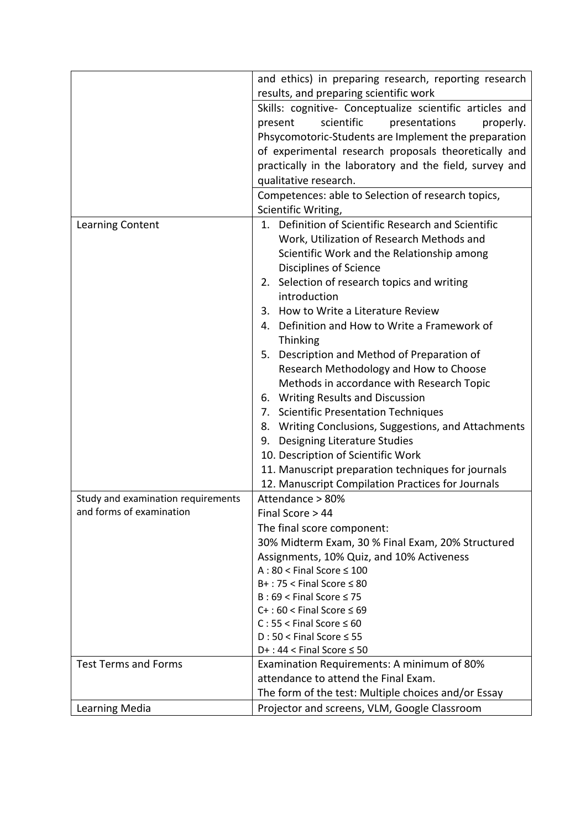|                                    | and ethics) in preparing research, reporting research                                                                                                                                          |  |  |  |
|------------------------------------|------------------------------------------------------------------------------------------------------------------------------------------------------------------------------------------------|--|--|--|
|                                    | results, and preparing scientific work                                                                                                                                                         |  |  |  |
|                                    | Skills: cognitive- Conceptualize scientific articles and                                                                                                                                       |  |  |  |
|                                    | scientific<br>present<br>presentations<br>properly.                                                                                                                                            |  |  |  |
|                                    | Phsycomotoric-Students are Implement the preparation                                                                                                                                           |  |  |  |
|                                    | of experimental research proposals theoretically and<br>practically in the laboratory and the field, survey and<br>qualitative research.<br>Competences: able to Selection of research topics, |  |  |  |
|                                    |                                                                                                                                                                                                |  |  |  |
|                                    |                                                                                                                                                                                                |  |  |  |
|                                    |                                                                                                                                                                                                |  |  |  |
|                                    | Scientific Writing,                                                                                                                                                                            |  |  |  |
|                                    | Definition of Scientific Research and Scientific<br>1.                                                                                                                                         |  |  |  |
| Learning Content                   |                                                                                                                                                                                                |  |  |  |
|                                    | Work, Utilization of Research Methods and                                                                                                                                                      |  |  |  |
|                                    | Scientific Work and the Relationship among                                                                                                                                                     |  |  |  |
|                                    | Disciplines of Science                                                                                                                                                                         |  |  |  |
|                                    | 2. Selection of research topics and writing                                                                                                                                                    |  |  |  |
|                                    | introduction                                                                                                                                                                                   |  |  |  |
|                                    | 3. How to Write a Literature Review                                                                                                                                                            |  |  |  |
|                                    | Definition and How to Write a Framework of<br>4.<br>Thinking                                                                                                                                   |  |  |  |
|                                    | Description and Method of Preparation of<br>5.                                                                                                                                                 |  |  |  |
|                                    | Research Methodology and How to Choose                                                                                                                                                         |  |  |  |
|                                    | Methods in accordance with Research Topic                                                                                                                                                      |  |  |  |
|                                    | 6. Writing Results and Discussion                                                                                                                                                              |  |  |  |
|                                    | 7. Scientific Presentation Techniques                                                                                                                                                          |  |  |  |
|                                    | 8. Writing Conclusions, Suggestions, and Attachments                                                                                                                                           |  |  |  |
|                                    | Designing Literature Studies<br>9.                                                                                                                                                             |  |  |  |
|                                    | 10. Description of Scientific Work                                                                                                                                                             |  |  |  |
|                                    | 11. Manuscript preparation techniques for journals                                                                                                                                             |  |  |  |
|                                    | 12. Manuscript Compilation Practices for Journals                                                                                                                                              |  |  |  |
| Study and examination requirements | Attendance > 80%                                                                                                                                                                               |  |  |  |
| and forms of examination           | Final Score > 44                                                                                                                                                                               |  |  |  |
|                                    | The final score component:                                                                                                                                                                     |  |  |  |
|                                    | 30% Midterm Exam, 30 % Final Exam, 20% Structured                                                                                                                                              |  |  |  |
|                                    | Assignments, 10% Quiz, and 10% Activeness                                                                                                                                                      |  |  |  |
|                                    | $A:80 <$ Final Score $\leq 100$                                                                                                                                                                |  |  |  |
|                                    | $B+$ : 75 < Final Score $\leq 80$                                                                                                                                                              |  |  |  |
|                                    | $B:69 <$ Final Score $\leq 75$                                                                                                                                                                 |  |  |  |
|                                    | $C+$ : 60 < Final Score $\leq 69$                                                                                                                                                              |  |  |  |
|                                    | $C: 55 <$ Final Score $\leq 60$                                                                                                                                                                |  |  |  |
|                                    | $D:50 <$ Final Score $\leq 55$                                                                                                                                                                 |  |  |  |
|                                    | $D+$ : 44 < Final Score $\leq$ 50                                                                                                                                                              |  |  |  |
| <b>Test Terms and Forms</b>        | Examination Requirements: A minimum of 80%                                                                                                                                                     |  |  |  |
|                                    | attendance to attend the Final Exam.                                                                                                                                                           |  |  |  |
|                                    | The form of the test: Multiple choices and/or Essay                                                                                                                                            |  |  |  |
| Learning Media                     | Projector and screens, VLM, Google Classroom                                                                                                                                                   |  |  |  |